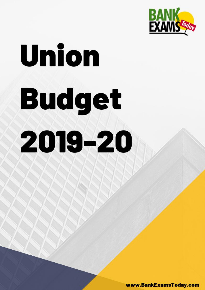

www.BankExamsToday.com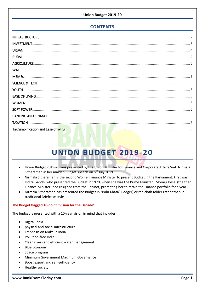# **CONTENTS**

# UNION BUDGET 2019-20

- Union Budget 2019-20 was presented by the Union Minister for Finance and Corporate Affairs Smt. Nirmala Sitharaman in her maiden Budget speech on 5<sup>th</sup> July 2019
- Nirmala Sitharaman is the second Women Finance Minister to present Budget in the Parliament. First was Indira Gandhi who presented the Budget in 1970, when she was the Prime Minister. Morarji Desai (the then Finance Minister) had resigned from the Cabinet, prompting her to retain the Finance portfolio for a year.
- Nirmala Sitharaman has presented the Budget in "Bahi-Khata" (ledger) or red cloth folder rather than in traditional Briefcase style

# The Budget flagged 10-point "Vision for the Decade"

The budget is presented with a 10-year vision in mind that includes:

- Digital India
- physical and social infrastructure
- Emphasis on Make in India
- Pollution-free India
- Clean rivers and efficient water management  $\bullet$
- **Blue Economy**
- Space program
- Minimum Government Maximum Governance
- Boost export and self-sufficiency
- Healthy society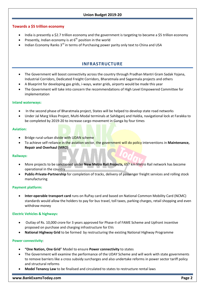# **Towards a \$5 trillion economy**

- India is presently a \$2.7 trillion economy and the government is targeting to became a \$5 trillion economy
- Presently, Indian economy is at  $6<sup>th</sup>$  position in the world
- Indian Economy Ranks 3<sup>rd</sup> in terms of Purchasing power parity only text to China and USA

# **INFRASTRUCTURE**

- <span id="page-2-0"></span> The Government will boost connectivity across the country through Pradhan Mantri Gram Sadak Yojana, Industrial Corridors, Dedicated Freight Corridors, Bharatmala and Sagarmala projects and others
- A Blueprint for developing gas grids, i-ways, water grids, airports would be made this year
- The Government will take into concern the recommendations of High Level Empowered Committee for implementation

# **Inland waterways:**

- In the second phase of Bharatmala project, States will be helped to develop state road networks
- Under Jal Marg Vikas Project, Multi-Modal terminals at Sahibganj and Haldia, navigational lock at Farakka to be completed by 2019-20 to increase cargo movement in Ganga by four times

# **Aviation:**

- Bridge rural-urban divide with UDAN scheme
- To achieve self-reliance in the aviation sector, the government will do policy interventions in **Maintenance, Repair and Overhaul (MRO)**

# **Railways:**

- More projects to be sanctioned under **New Metro Rail Projects,** 657 km Metro Rail network has become operational in the country
- **Public-Private-Partnership** for completion of tracks, delivery of passenger freight services and rolling stock manufacturing

# **Payment platform:**

 **Inter-operable transport card** runs on RuPay card and based on National Common Mobility Card (NCMC) standards would allow the holders to pay for bus travel, toll taxes, parking charges, retail shopping and even withdraw money

# **Electric Vehicles & highways:**

- Outlay of Rs. 10,000 crore for 3 years approved for Phase-II of FAME Scheme and Upfront incentive proposed on purchase and charging infrastructure for EVs
- **National Highway Grid** to be formed by restructuring the existing National Highway Programme

# **Power connectivity**:

- **"One Nation, One Grid**" Model to ensure **Power connectivity** to states
- The Government will examine the performance of the UDAY Scheme and will work with state governments to remove barriers like a cross subsidy surcharges and also undertake reforms in power sector tariff policy and structural reforms
- **Model Tenancy Law** to be finalised and circulated to states to restructure rental laws

#### **www.BankExamsToday.com Page 2**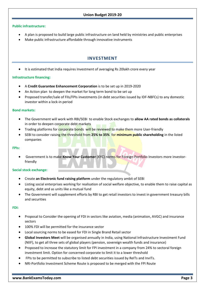# **Public infrastructure:**

- A plan is proposed to build large public infrastructure on land held by ministries and public enterprises
- <span id="page-3-0"></span>Make public infrastructure affordable through innovative instruments

# **INVESTMENT**

It is estimated that India requires Investment of averaging Rs 20lakh crore every year

# **Infrastructure financing:**

- A **Credit Guarantee Enhancement Corporation** is to be set up in 2019-2020
- An Action plan to deepen the market for long term bond to be set up
- Proposed transfer/sale of FIIs/FPIs investments (in debt securities issued by IDF-NBFCs) to any domestic investor within a lock-in period

# **Bond markets:**

- The Government will work with RBI/SEBI to enable Stock exchanges to **allow AA rated bonds as collaterals** in order to deepen corporate debt markets
- Trading platforms for corporate bonds will be reviewed to make them more User-friendly
- SEBI to consider raising the threshold from **25% to 35%** for **minimum public shareholding** in the listed companies

# **FPIs:**

 Government is to make **Know Your Customer** (KYC) norms for Foreign Portfolio Investors more investorfriendly

# **Social stock exchange:**

- Create **an Electronic fund raising platform** under the regulatory ambit of SEBI
- Listing social enterprises working for realisation of social welfare objective, to enable them to raise capital as equity, debt and as units like a mutual fund
- The Government will supplement efforts by RBI to get retail investors to invest in government treasury bills and securities

# **FDI:**

- Proposal to Consider the opening of FDI in sectors like aviation, media (animation, AVGC) and insurance sectors
- 100% FDI will be permitted for the insurance sector
- Local sourcing norms to be eased for FDI in Single Brand Retail sector
- **Global Investors Meet** will be organised annually in India, using National Infrastructure Investment Fund (NIIF), to get all three sets of global players (pension, sovereign wealth funds and insurance)
- Proposed to increase the statutory limit for FPI investment in a company from 24% to sectoral foreign investment limit. Option for concerned corporate to limit it to a lower threshold
- FPIs to be permitted to subscribe to listed debt securities issued by ReITs and InvITs.
- NRI-Portfolio Investment Scheme Route is proposed to be merged with the FPI Route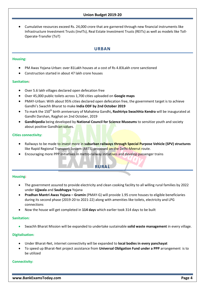Cumulative resources exceed Rs. 24,000 crore that are garnered through new financial instruments like Infrastructure Investment Trusts (InvITs), Real Estate Investment Trusts (REITs) as well as models like Toll-Operate-Transfer (ToT)

# **URBAN**

# <span id="page-4-0"></span>**Housing:**

- PM Awas Yojana-Urban: over 81Lakh houses at a cost of Rs 4.83Lakh crore sanctioned
- Construction started in about 47 lakh crore houses

# **Sanitation:**

- Over 5.6 lakh villages declared open defecation free
- Over 45,000 public toilets across 1,700 cities uploaded on **Google maps**
- PMAY-Urban: With about 95% cities declared open defecation free, the government target is to achieve Gandhi's Swachh Bharat to make **India ODF by 2nd October 2019**
- **•** To mark the 150<sup>th</sup> birth anniversary of Mahatma Gandhi, Rashtriya Swachhta Kendra will be inaugurated at Gandhi Darshan, Rajghat on 2nd October, 2019
- **Gandhipedia** being developed by **National Council for Science Museums** to sensitize youth and society about positive Gandhian values.

# **Cities connectivity:**

- Railways to be made to invest more in **suburban railways through Special Purpose Vehicle (SPV) structures** like Rapid Regional Transport System (RRTS) proposed on the Delhi-Meerut route.
- <span id="page-4-1"></span>Encouraging more PPP initiatives in metro-railway initiatives and develop passenger trains

# **RURAL**

# **Housing:**

- The government assured to provide electricity and clean cooking facility to all willing rural families by 2022 under **Ujjwala** and **Saubhagya** Yojana
- **Pradhan Mantri Awas Yojana – Gramin** (PMAY-G) will provide 1.95 crore houses to eligible beneficiaries during its second phase (2019-20 to 2021-22) along with amenities like toilets, electricity and LPG connections
- Now the house will get completed in **114 days** which earlier took 314 days to be built

# **Sanitation:**

Swachh Bharat Mission will be expanded to undertake sustainable **solid waste management** in every village.

# **Digitalisation:**

- Under Bharat-Net, internet connectivity will be expanded to **local bodies in every panchayat**
- To speed up Bharat-Net project assistance from **Universal Obligation Fund under a PPP** arrangement is to be utilized

# **Connectivity:**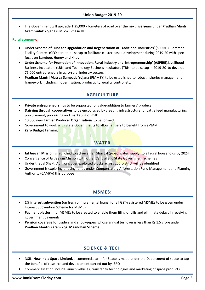The Government will upgrade 1,25,000 kilometers of road over the **next five years** under **Pradhan Mantri Gram Sadak Yojana** (PMGSY) **Phase III**

# **Rural economy:**

- Under **Scheme of Fund for Upgradation and Regeneration of Traditional Industries'** (SFURTI), Common Facility Centres (CFCs) are to be setup to facilitate cluster based development during 2019-20 with special focus on **Bamboo, Honey and Khadi**
- Under **Scheme for Promotion of Innovation, Rural Industry and Entrepreneurship' (ASPIRE**),Livelihood Business Incubators (LBIs) and Technology Business Incubators (TBIs) to be setup in 2019-20 to develop 75,000 entrepreneurs in agro-rural industry sectors
- <span id="page-5-0"></span> **Pradhan Mantri Matsya Sampada Yojana** (PMMSY) to be established to robust fisheries management framework including modernisation, productivity, quality control etc.

# **AGRICULTURE**

- **Private entrepreneurships** to be supported for value-addition to farmers' produce
- **Dairying through cooperatives** to be encouraged by creating infrastructure for cattle feed manufacturing, procurement, processing and marketing of milk
- 10,000 new **Farmer Producer Organizations** to be formed
- Government to work with State Governments to allow farmers to benefit from e-NAM
- <span id="page-5-1"></span>**Zero Budget Farming**

# **WATER**

- **Jal Jeevan Mission** is launched to achieve Har Ghar Jal (piped water supply) to all rural households by 2024
- Convergence of Jal Jeevan Mission with other Central and State Government Schemes
- Under the Jal Shakti Abhiyan, over exploited Blocks across 256 District will be identified
- Government is exploring of using funds under Compensatory Afforestation Fund Management and Planning Authority (CAMPA) this purpose

# **MSMES:**

- <span id="page-5-2"></span> **2% interest subvention** (on fresh or incremental loans) for all GST-registered MSMEs to be given under Interest Subvention Scheme for MSMEs
- **Payment platform** for MSMEs to be created to enable them filing of bills and eliminate delays in receiving government payments
- **Pension coverage** for traders and shopkeepers whose annual turnover is less than Rs 1.5 crore under **Pradhan Mantri Karam Yogi Maandhan Scheme**

# **SCIENCE & TECH**

- <span id="page-5-3"></span> NSIL: **New India Space Limited**, a commercial arm for Space is made under the Department of space to tap the benefits of research and development carried out by ISRO
- Commercialization include launch vehicles, transfer to technologies and marketing of space products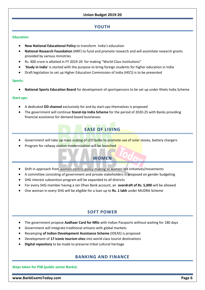# **YOUTH**

#### <span id="page-6-0"></span>**Education:**

- **New National Educational Policy** to transform India's education
- **National Research Foundation** (NRF) to fund and promote research and will assimilate research grants provided by various ministries
- Rs. 400 crore is allotted in FY 2019-20 for making "World Class Institutions"
- '**Study in India**' is started with the purpose to bring foreign students for higher education in India
- Draft legislation to set up Higher Education Commission of India (HECI) is to be presented

#### **Sports:**

**National Sports Education Board** for development of sportspersons to be set up under Khelo India Scheme

# **Start-ups:**

- A dedicated **DD channel** exclusively for and by start-ups themselves is proposed
- <span id="page-6-1"></span> The government will continue **Stand-Up India Scheme** for the period of 2020-25 with Banks providing financial assistance for demand based businesses

# **EASE OF LIVING**

- Government will take up mass scaling of LED bulbs to promote use of solar stoves, battery chargers
- <span id="page-6-2"></span>Program for railway station modernization will be launched

# **WOMEN**

- Shift in approach from women-centric-policy making to women-led initiatives/movements
- A committee consisting of government and private stakeholders is proposed on gender budgeting
- SHG interest subvention program will be expanded to all districts
- For every SHG member having a Jan Dhan Bank account, an **overdraft of Rs. 5,000** will be allowed
- One woman in every SHG will be eligible for a loan up to **Rs. 1 lakh** under MUDRA Scheme

# **SOFT POWER**

- <span id="page-6-3"></span>The government propose **Aadhaar Card for NRIs** with Indian Passports without waiting for 180 days
- Government will integrate traditional artisans with global markets
- Revamping **of Indian Development Assistance Scheme** (IDEAS) is proposed
- Development of **17 iconic tourism sites** into world class tourist destinations
- <span id="page-6-4"></span>**Digital repository** to be made to preserve tribal cultural heritage

# **BANKING AND FINANCE**

**Steps taken for PSB (public sector Banks):**

**www.BankExamsToday.com Page 6**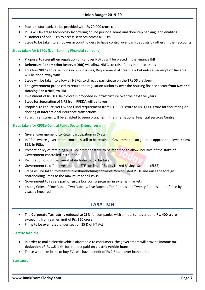- Public sector banks to be provided with Rs 70,000 crore capital
- PSBs will leverage technology by offering online personal loans and doorstep banking, and enabling customers of one PSBs to access services across all PSBs
- Steps to be taken to empower accountholders to have control over cash deposits by others in their accounts

# **Steps taken for NBFCs (Non-Banking Financial company):**

- Proposal to strengthen regulation of RBI over NBFCs will be placed in the Finance Bill
- **Debenture Redemption Reserve(DRR**) will allow NBFCs to raise funds in public issues
- To allow NBFCs to raise funds in public issues, Requirement of creating a Debenture Redemption Reserve will be done away with
- Steps will be taken to allow all NBFCs to directly participate on the **TReDS platform**
- The government proposed to return the regulation authority over the housing finance sector **from National Housing Bank(NHB) to RBI**
- Investment of Rs. 100 lakh crore is proposed in infrastructure over the next five years
- Steps for Separation of NPS from PFRDA will be taken
- Proposal to reduce Net Owned Fund requirement from Rs. 5,000 crore to Rs. 1,000 crore for facilitating onshoring of international insurance transactions
- Foreign reinsurers will be enabled to open branches in the International Financial Services Centre

# **Steps taken for CPSEs(Central Public Sector Enterprises):**

- Give encouragement to Retail participation in CPSEs
- In PSUs where government control is still to be retained, Government can go to an appropriate level **below 51% in PSUs**
- **•** Present policy of retaining 51% Government stake to be modified to allow inclusive of the stake of Government controlled institutions
- Reinitiation of disinvestment of Air India would be taken
- Government to offer investment in ETFs on line of Equity Linked Savings Scheme (ELSS)
- Steps will be taken to meet public shareholding norms of 25% of listed PSUs and raise the foreign shareholding limits to the maximum for all PSUs
- Government to raise a part of gross borrowing program in external markets
- <span id="page-7-0"></span> Issuing Coins of One Rupee, Two Rupees, Five Rupees, Ten Rupees and Twenty Rupees, identifiable by visually impaired

# **TAXATION**

- The **Corporate Tax rate is reduced to 25%** for companies with annual turnover up to **Rs. 400 crore** exceeding from earlier limit of **Rs. 250 crore**
- Firms to be exempted under section 35 D of I-T Act

# **Electric Vehicle:**

- In order to make electric vehicle affordable to consumers, the government will provide **income tax deduction of Rs 1.5 lakh** for interest paid **on electric vehicle loans**
- Those who take loans to buy EVs will have benefit of Rs 2.5 Lakh over loan period

# **Startups:**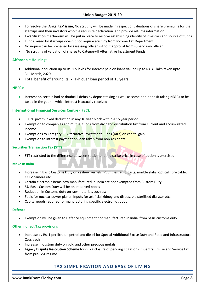- To resolve the '**Angel tax' issue,** No scrutiny will be made in respect of valuations of share premiums for the startups and their investors who file requisite declaration and provide returns information
- **E-verification** mechanism will be put in place to resolve establishing identity of investors and source of funds
- Funds raised by start-ups doesn't not require scrutiny from Income Tax Department
- No inquiry can be preceded by assessing officer without approval from supervisory officer
- No scrutiny of valuation of shares to Category-II Alternative Investment Funds

# **Affordable Housing:**

- Additional deduction up to Rs. 1.5 lakhs for interest paid on loans valued up to Rs. 45 lakh taken upto 31<sup>st</sup> March, 2020
- Total benefit of around Rs. 7 lakh over loan period of 15 years

#### **NBFCs:**

 Interest on certain bad or doubtful debts by deposit taking as well as some non-deposit taking NBFCs to be taxed in the year in which interest is actually received

# **International Financial Services Centre (IFSC):**

- 100 % profit-linked deduction in any 10 year block within a 15 year period
- Exemption to companies and mutual funds from dividend distribution tax from current and accumulated income
- Exemptions to Category-III Alternative Investment Funds (AIFs) on capital gain
- Exemption to interest payment on loan taken from non-residents

# **Securities Transaction Tax (STT)**

STT restricted to the difference between settlement and strike price in case of option is exercised

# **Make In India**

- Increase in Basic Customs Duty on cashew kernels, PVC, tiles, auto parts, marble slabs, optical fibre cable, CCTV camera etc.
- Certain electronic items now manufactured in India are not exempted from Custom Duty
- 5% Basic Custom Duty will be on imported books
- Reduction in Customs duty on raw materials such as:
- Fuels for nuclear power plants, Inputs for artificial kidney and disposable sterilised dialyser etc.
- Capital goods required for manufacturing specific electronic goods

#### **Defence**

Exemption will be given to Defence equipment not manufactured in India from basic customs duty

#### **Other Indirect Tax provisions**

- Increase by Rs. 1 per litre on petrol and diesel for Special Additional Excise Duty and Road and Infrastructure Cess each
- Increase in Custom duty on gold and other precious metals
- <span id="page-8-0"></span> **Legacy Dispute Resolution Scheme** for quick closure of pending litigations in Central Excise and Service tax from pre-GST regime

# **TAX SIMPLIFICATION AND EASE OF LIVING**